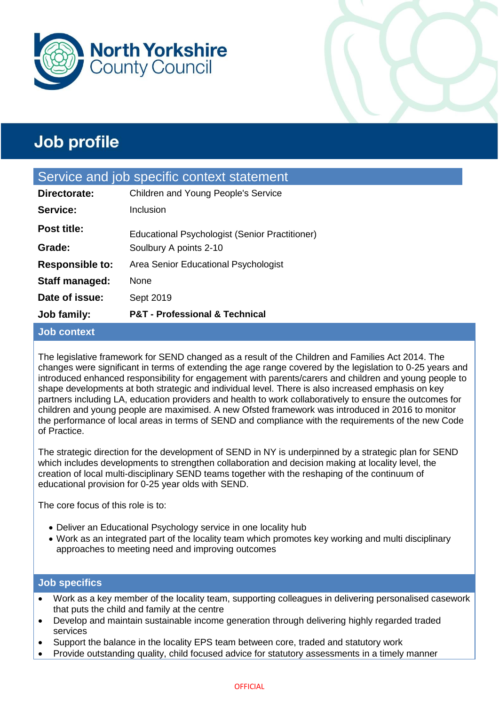



| Job family:                                | <b>P&amp;T</b> - Professional & Technical      |  |  |
|--------------------------------------------|------------------------------------------------|--|--|
| Date of issue:                             | Sept 2019                                      |  |  |
| Staff managed:                             | None                                           |  |  |
| <b>Responsible to:</b>                     | Area Senior Educational Psychologist           |  |  |
| Grade:                                     | Soulbury A points 2-10                         |  |  |
| <b>Post title:</b>                         | Educational Psychologist (Senior Practitioner) |  |  |
| Service:                                   | Inclusion                                      |  |  |
| Directorate:                               | Children and Young People's Service            |  |  |
| Service and job specific context statement |                                                |  |  |
|                                            |                                                |  |  |

## **Job context**

The legislative framework for SEND changed as a result of the Children and Families Act 2014. The changes were significant in terms of extending the age range covered by the legislation to 0-25 years and introduced enhanced responsibility for engagement with parents/carers and children and young people to shape developments at both strategic and individual level. There is also increased emphasis on key partners including LA, education providers and health to work collaboratively to ensure the outcomes for children and young people are maximised. A new Ofsted framework was introduced in 2016 to monitor the performance of local areas in terms of SEND and compliance with the requirements of the new Code of Practice.

The strategic direction for the development of SEND in NY is underpinned by a strategic plan for SEND which includes developments to strengthen collaboration and decision making at locality level, the creation of local multi-disciplinary SEND teams together with the reshaping of the continuum of educational provision for 0-25 year olds with SEND.

The core focus of this role is to:

- Deliver an Educational Psychology service in one locality hub
- Work as an integrated part of the locality team which promotes key working and multi disciplinary approaches to meeting need and improving outcomes

## **Job specifics**

- Work as a key member of the locality team, supporting colleagues in delivering personalised casework that puts the child and family at the centre
- Develop and maintain sustainable income generation through delivering highly regarded traded services
- Support the balance in the locality EPS team between core, traded and statutory work
- Provide outstanding quality, child focused advice for statutory assessments in a timely manner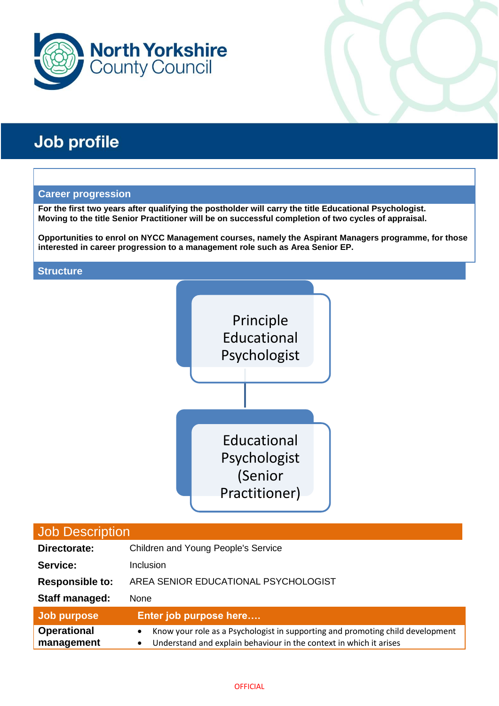

### **Career progression**

**For the first two years after qualifying the postholder will carry the title Educational Psychologist. Moving to the title Senior Practitioner will be on successful completion of two cycles of appraisal.**

**Opportunities to enrol on NYCC Management courses, namely the Aspirant Managers programme, for those interested in career progression to a management role such as Area Senior EP.** 

### **Structure**



| Job Description                  |                                                                                                                                                                |  |  |
|----------------------------------|----------------------------------------------------------------------------------------------------------------------------------------------------------------|--|--|
| Directorate:                     | Children and Young People's Service                                                                                                                            |  |  |
| Service:                         | Inclusion                                                                                                                                                      |  |  |
| <b>Responsible to:</b>           | AREA SENIOR EDUCATIONAL PSYCHOLOGIST                                                                                                                           |  |  |
| <b>Staff managed:</b>            | None                                                                                                                                                           |  |  |
| Job purpose                      | Enter job purpose here                                                                                                                                         |  |  |
| <b>Operational</b><br>management | Know your role as a Psychologist in supporting and promoting child development<br>٠<br>Understand and explain behaviour in the context in which it arises<br>٠ |  |  |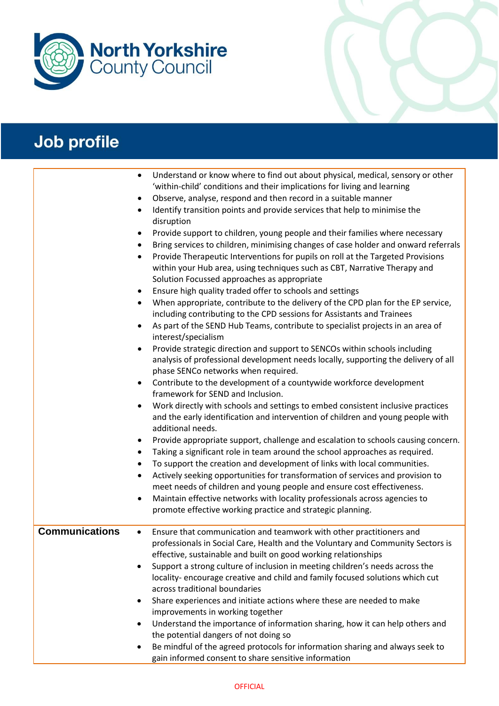

|                       | Understand or know where to find out about physical, medical, sensory or other<br>$\bullet$<br>'within-child' conditions and their implications for living and learning<br>Observe, analyse, respond and then record in a suitable manner<br>$\bullet$<br>Identify transition points and provide services that help to minimise the<br>$\bullet$<br>disruption<br>Provide support to children, young people and their families where necessary<br>٠<br>Bring services to children, minimising changes of case holder and onward referrals<br>٠<br>Provide Therapeutic Interventions for pupils on roll at the Targeted Provisions<br>$\bullet$<br>within your Hub area, using techniques such as CBT, Narrative Therapy and<br>Solution Focussed approaches as appropriate<br>Ensure high quality traded offer to schools and settings<br>When appropriate, contribute to the delivery of the CPD plan for the EP service,<br>٠<br>including contributing to the CPD sessions for Assistants and Trainees<br>As part of the SEND Hub Teams, contribute to specialist projects in an area of<br>$\bullet$<br>interest/specialism<br>Provide strategic direction and support to SENCOs within schools including<br>$\bullet$<br>analysis of professional development needs locally, supporting the delivery of all<br>phase SENCo networks when required.<br>Contribute to the development of a countywide workforce development<br>٠<br>framework for SEND and Inclusion.<br>Work directly with schools and settings to embed consistent inclusive practices<br>and the early identification and intervention of children and young people with<br>additional needs.<br>Provide appropriate support, challenge and escalation to schools causing concern.<br>٠<br>Taking a significant role in team around the school approaches as required.<br>$\bullet$<br>To support the creation and development of links with local communities.<br>٠<br>Actively seeking opportunities for transformation of services and provision to<br>$\bullet$<br>meet needs of children and young people and ensure cost effectiveness.<br>Maintain effective networks with locality professionals across agencies to<br>$\bullet$<br>promote effective working practice and strategic planning. |
|-----------------------|------------------------------------------------------------------------------------------------------------------------------------------------------------------------------------------------------------------------------------------------------------------------------------------------------------------------------------------------------------------------------------------------------------------------------------------------------------------------------------------------------------------------------------------------------------------------------------------------------------------------------------------------------------------------------------------------------------------------------------------------------------------------------------------------------------------------------------------------------------------------------------------------------------------------------------------------------------------------------------------------------------------------------------------------------------------------------------------------------------------------------------------------------------------------------------------------------------------------------------------------------------------------------------------------------------------------------------------------------------------------------------------------------------------------------------------------------------------------------------------------------------------------------------------------------------------------------------------------------------------------------------------------------------------------------------------------------------------------------------------------------------------------------------------------------------------------------------------------------------------------------------------------------------------------------------------------------------------------------------------------------------------------------------------------------------------------------------------------------------------------------------------------------------------------------------------------------------------------------------------------------------------------------|
| <b>Communications</b> | Ensure that communication and teamwork with other practitioners and<br>$\bullet$<br>professionals in Social Care, Health and the Voluntary and Community Sectors is<br>effective, sustainable and built on good working relationships<br>Support a strong culture of inclusion in meeting children's needs across the<br>locality-encourage creative and child and family focused solutions which cut<br>across traditional boundaries                                                                                                                                                                                                                                                                                                                                                                                                                                                                                                                                                                                                                                                                                                                                                                                                                                                                                                                                                                                                                                                                                                                                                                                                                                                                                                                                                                                                                                                                                                                                                                                                                                                                                                                                                                                                                                       |
|                       | Share experiences and initiate actions where these are needed to make<br>٠<br>improvements in working together<br>Understand the importance of information sharing, how it can help others and<br>$\bullet$<br>the potential dangers of not doing so                                                                                                                                                                                                                                                                                                                                                                                                                                                                                                                                                                                                                                                                                                                                                                                                                                                                                                                                                                                                                                                                                                                                                                                                                                                                                                                                                                                                                                                                                                                                                                                                                                                                                                                                                                                                                                                                                                                                                                                                                         |
|                       | Be mindful of the agreed protocols for information sharing and always seek to<br>٠<br>gain informed consent to share sensitive information                                                                                                                                                                                                                                                                                                                                                                                                                                                                                                                                                                                                                                                                                                                                                                                                                                                                                                                                                                                                                                                                                                                                                                                                                                                                                                                                                                                                                                                                                                                                                                                                                                                                                                                                                                                                                                                                                                                                                                                                                                                                                                                                   |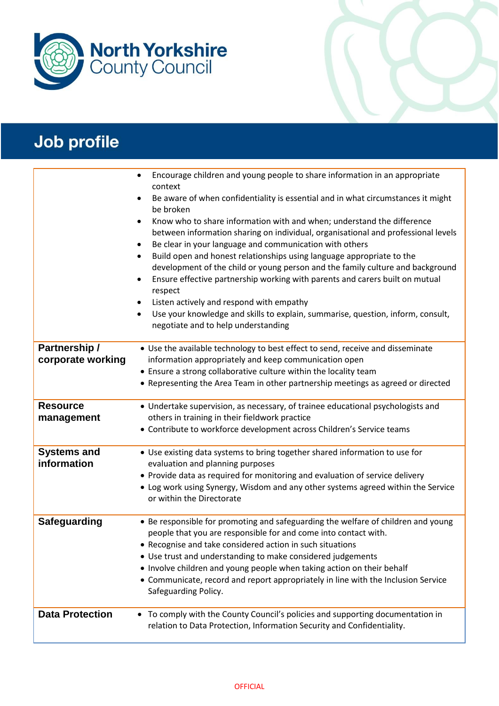

|                                    | Encourage children and young people to share information in an appropriate<br>$\bullet$<br>context<br>Be aware of when confidentiality is essential and in what circumstances it might<br>٠<br>be broken<br>Know who to share information with and when; understand the difference<br>$\bullet$<br>between information sharing on individual, organisational and professional levels<br>Be clear in your language and communication with others<br>٠<br>Build open and honest relationships using language appropriate to the<br>$\bullet$<br>development of the child or young person and the family culture and background<br>Ensure effective partnership working with parents and carers built on mutual<br>٠<br>respect<br>Listen actively and respond with empathy<br>Use your knowledge and skills to explain, summarise, question, inform, consult,<br>$\bullet$<br>negotiate and to help understanding |
|------------------------------------|-----------------------------------------------------------------------------------------------------------------------------------------------------------------------------------------------------------------------------------------------------------------------------------------------------------------------------------------------------------------------------------------------------------------------------------------------------------------------------------------------------------------------------------------------------------------------------------------------------------------------------------------------------------------------------------------------------------------------------------------------------------------------------------------------------------------------------------------------------------------------------------------------------------------|
| Partnership /<br>corporate working | • Use the available technology to best effect to send, receive and disseminate<br>information appropriately and keep communication open<br>• Ensure a strong collaborative culture within the locality team<br>• Representing the Area Team in other partnership meetings as agreed or directed                                                                                                                                                                                                                                                                                                                                                                                                                                                                                                                                                                                                                 |
| <b>Resource</b><br>management      | • Undertake supervision, as necessary, of trainee educational psychologists and<br>others in training in their fieldwork practice<br>• Contribute to workforce development across Children's Service teams                                                                                                                                                                                                                                                                                                                                                                                                                                                                                                                                                                                                                                                                                                      |
| <b>Systems and</b><br>information  | • Use existing data systems to bring together shared information to use for<br>evaluation and planning purposes<br>• Provide data as required for monitoring and evaluation of service delivery<br>• Log work using Synergy, Wisdom and any other systems agreed within the Service<br>or within the Directorate                                                                                                                                                                                                                                                                                                                                                                                                                                                                                                                                                                                                |
| <b>Safeguarding</b>                | • Be responsible for promoting and safeguarding the welfare of children and young<br>people that you are responsible for and come into contact with.<br>• Recognise and take considered action in such situations<br>• Use trust and understanding to make considered judgements<br>. Involve children and young people when taking action on their behalf<br>• Communicate, record and report appropriately in line with the Inclusion Service<br>Safeguarding Policy.                                                                                                                                                                                                                                                                                                                                                                                                                                         |
| <b>Data Protection</b>             | • To comply with the County Council's policies and supporting documentation in<br>relation to Data Protection, Information Security and Confidentiality.                                                                                                                                                                                                                                                                                                                                                                                                                                                                                                                                                                                                                                                                                                                                                        |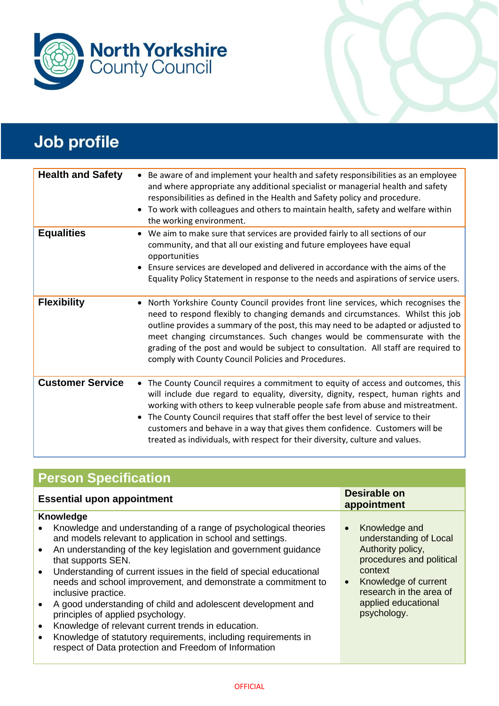

| <b>Health and Safety</b> | • Be aware of and implement your health and safety responsibilities as an employee<br>and where appropriate any additional specialist or managerial health and safety<br>responsibilities as defined in the Health and Safety policy and procedure.<br>• To work with colleagues and others to maintain health, safety and welfare within<br>the working environment.                                                                                                                                           |
|--------------------------|-----------------------------------------------------------------------------------------------------------------------------------------------------------------------------------------------------------------------------------------------------------------------------------------------------------------------------------------------------------------------------------------------------------------------------------------------------------------------------------------------------------------|
| <b>Equalities</b>        | • We aim to make sure that services are provided fairly to all sections of our<br>community, and that all our existing and future employees have equal<br>opportunities<br>• Ensure services are developed and delivered in accordance with the aims of the<br>Equality Policy Statement in response to the needs and aspirations of service users.                                                                                                                                                             |
| <b>Flexibility</b>       | • North Yorkshire County Council provides front line services, which recognises the<br>need to respond flexibly to changing demands and circumstances. Whilst this job<br>outline provides a summary of the post, this may need to be adapted or adjusted to<br>meet changing circumstances. Such changes would be commensurate with the<br>grading of the post and would be subject to consultation. All staff are required to<br>comply with County Council Policies and Procedures.                          |
| <b>Customer Service</b>  | • The County Council requires a commitment to equity of access and outcomes, this<br>will include due regard to equality, diversity, dignity, respect, human rights and<br>working with others to keep vulnerable people safe from abuse and mistreatment.<br>• The County Council requires that staff offer the best level of service to their<br>customers and behave in a way that gives them confidence. Customers will be<br>treated as individuals, with respect for their diversity, culture and values. |

## **Person Specification**

| Desirable on<br><b>Essential upon appointment</b><br>appointment<br><b>Knowledge</b><br>Knowledge and understanding of a range of psychological theories<br>Knowledge and<br>$\bullet$<br>and models relevant to application in school and settings.<br>understanding of Local<br>Authority policy,<br>An understanding of the key legislation and government guidance<br>$\bullet$<br>procedures and political<br>that supports SEN.<br>context<br>Understanding of current issues in the field of special educational<br>$\bullet$<br>needs and school improvement, and demonstrate a commitment to<br>Knowledge of current<br>$\bullet$<br>research in the area of<br>inclusive practice.<br>applied educational<br>A good understanding of child and adolescent development and<br>psychology.<br>principles of applied psychology.<br>Knowledge of relevant current trends in education.<br>$\bullet$<br>Knowledge of statutory requirements, including requirements in<br>respect of Data protection and Freedom of Information |  |  |  |  |
|---------------------------------------------------------------------------------------------------------------------------------------------------------------------------------------------------------------------------------------------------------------------------------------------------------------------------------------------------------------------------------------------------------------------------------------------------------------------------------------------------------------------------------------------------------------------------------------------------------------------------------------------------------------------------------------------------------------------------------------------------------------------------------------------------------------------------------------------------------------------------------------------------------------------------------------------------------------------------------------------------------------------------------------|--|--|--|--|
|                                                                                                                                                                                                                                                                                                                                                                                                                                                                                                                                                                                                                                                                                                                                                                                                                                                                                                                                                                                                                                       |  |  |  |  |
|                                                                                                                                                                                                                                                                                                                                                                                                                                                                                                                                                                                                                                                                                                                                                                                                                                                                                                                                                                                                                                       |  |  |  |  |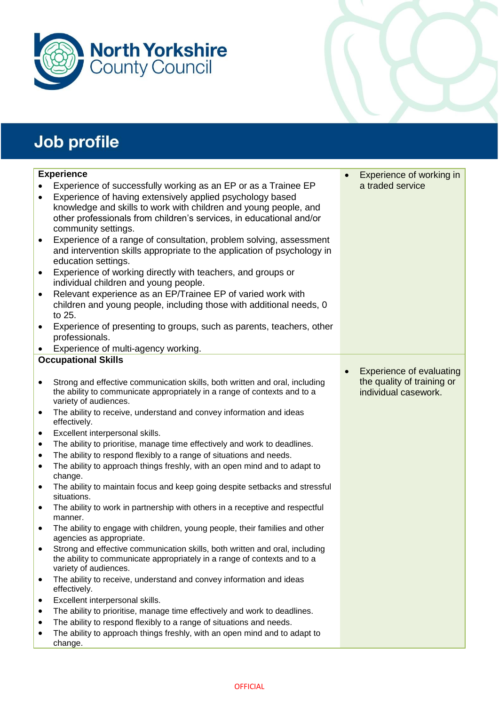



|           | <b>Experience</b>                                                                                                                                       | Experience of working in        |
|-----------|---------------------------------------------------------------------------------------------------------------------------------------------------------|---------------------------------|
|           | Experience of successfully working as an EP or as a Trainee EP                                                                                          | a traded service                |
| $\bullet$ | Experience of having extensively applied psychology based                                                                                               |                                 |
|           | knowledge and skills to work with children and young people, and                                                                                        |                                 |
|           | other professionals from children's services, in educational and/or                                                                                     |                                 |
|           | community settings.                                                                                                                                     |                                 |
| $\bullet$ | Experience of a range of consultation, problem solving, assessment                                                                                      |                                 |
|           | and intervention skills appropriate to the application of psychology in                                                                                 |                                 |
|           | education settings.                                                                                                                                     |                                 |
| $\bullet$ | Experience of working directly with teachers, and groups or<br>individual children and young people.                                                    |                                 |
| $\bullet$ | Relevant experience as an EP/Trainee EP of varied work with                                                                                             |                                 |
|           | children and young people, including those with additional needs, 0                                                                                     |                                 |
|           | to 25.                                                                                                                                                  |                                 |
| ٠         | Experience of presenting to groups, such as parents, teachers, other                                                                                    |                                 |
|           | professionals.                                                                                                                                          |                                 |
| $\bullet$ | Experience of multi-agency working.                                                                                                                     |                                 |
|           | <b>Occupational Skills</b>                                                                                                                              |                                 |
|           |                                                                                                                                                         | <b>Experience of evaluating</b> |
|           | Strong and effective communication skills, both written and oral, including                                                                             | the quality of training or      |
|           | the ability to communicate appropriately in a range of contexts and to a                                                                                | individual casework.            |
|           | variety of audiences.                                                                                                                                   |                                 |
| $\bullet$ | The ability to receive, understand and convey information and ideas<br>effectively.                                                                     |                                 |
| ٠         | Excellent interpersonal skills.                                                                                                                         |                                 |
| $\bullet$ | The ability to prioritise, manage time effectively and work to deadlines.                                                                               |                                 |
| $\bullet$ | The ability to respond flexibly to a range of situations and needs.                                                                                     |                                 |
| $\bullet$ | The ability to approach things freshly, with an open mind and to adapt to<br>change.                                                                    |                                 |
| $\bullet$ | The ability to maintain focus and keep going despite setbacks and stressful<br>situations.                                                              |                                 |
| ٠         | The ability to work in partnership with others in a receptive and respectful                                                                            |                                 |
|           | manner.                                                                                                                                                 |                                 |
| ٠         | The ability to engage with children, young people, their families and other<br>agencies as appropriate.                                                 |                                 |
|           | Strong and effective communication skills, both written and oral, including<br>the ability to communicate appropriately in a range of contexts and to a |                                 |
|           | variety of audiences.                                                                                                                                   |                                 |
| $\bullet$ | The ability to receive, understand and convey information and ideas<br>effectively.                                                                     |                                 |
| ٠         | Excellent interpersonal skills.                                                                                                                         |                                 |
| $\bullet$ | The ability to prioritise, manage time effectively and work to deadlines.                                                                               |                                 |
| ٠         | The ability to respond flexibly to a range of situations and needs.                                                                                     |                                 |
| ٠         | The ability to approach things freshly, with an open mind and to adapt to                                                                               |                                 |
|           | change.                                                                                                                                                 |                                 |